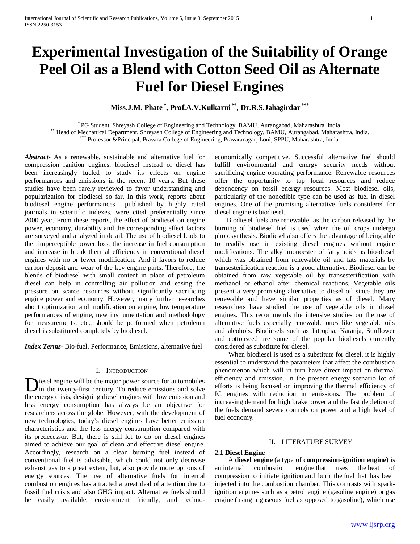# **Experimental Investigation of the Suitability of Orange Peel Oil as a Blend with Cotton Seed Oil as Alternate Fuel for Diesel Engines**

**Miss.J.M. Phate \* , Prof.A.V.Kulkarni \*\*, Dr.R.S.Jahagirdar \*\*\***

\* PG Student, Shreyash College of Engineering and Technology, BAMU, Aurangabad, Maharashtra, India.<br>\*\* Head of Mechanical Department, Shreyash College of Engineering and Technology, BAMU, Aurangabad, Maharashtra, India.<br>\*\*

*Abstract***-** As a renewable, sustainable and alternative fuel for compression ignition engines, biodiesel instead of diesel has been increasingly fueled to study its effects on engine performances and emissions in the recent 10 years. But these studies have been rarely reviewed to favor understanding and popularization for biodiesel so far. In this work, reports about biodiesel engine performances published by highly rated journals in scientific indexes, were cited preferentially since 2000 year. From these reports, the effect of biodiesel on engine power, economy, durability and the corresponding effect factors are surveyed and analyzed in detail. The use of biodiesel leads to the imperceptible power loss, the increase in fuel consumption and increase in break thermal efficiency in conventional diesel engines with no or fewer modification. And it favors to reduce carbon deposit and wear of the key engine parts. Therefore, the blends of biodiesel with small content in place of petroleum diesel can help in controlling air pollution and easing the pressure on scarce resources without significantly sacrificing engine power and economy. However, many further researches about optimization and modification on engine, low temperature performances of engine, new instrumentation and methodology for measurements, etc., should be performed when petroleum diesel is substituted completely by biodiesel.

*Index Terms*- Bio-fuel, Performance, Emissions, alternative fuel

#### I. INTRODUCTION

iesel engine will be the major power source for automobiles in the twenty-first century. To reduce emissions and solve Diesel engine will be the major power source for automobiles<br>the energy crisis, designing diesel engines with low emission and<br>diesel engines with low emission and less energy consumption has always be an objective for researchers across the globe. However, with the development of new technologies, today's diesel engines have better emission characteristics and the less energy consumption compared with its predecessor. But, there is still lot to do on diesel engines aimed to achieve our goal of clean and effective diesel engine. Accordingly, research on a clean burning fuel instead of conventional fuel is advisable, which could not only decrease exhaust gas to a great extent, but, also provide more options of energy sources. The use of alternative fuels for internal combustion engines has attracted a great deal of attention due to fossil fuel crisis and also GHG impact. Alternative fuels should be easily available, environment friendly, and technoeconomically competitive. Successful alternative fuel should fulfill environmental and energy security needs without sacrificing engine operating performance. Renewable resources offer the opportunity to tap local resources and reduce dependency on fossil energy resources. Most biodiesel oils, particularly of the nonedible type can be used as fuel in diesel engines. One of the promising alternative fuels considered for diesel engine is biodiesel.

 Biodiesel fuels are renewable, as the carbon released by the burning of biodiesel fuel is used when the oil crops undergo photosynthesis. Biodiesel also offers the advantage of being able to readily use in existing diesel engines without engine modifications. The alkyl monoester of fatty acids as bio-diesel which was obtained from renewable oil and fats materials by transesterification reaction is a good alternative. Biodiesel can be obtained from raw vegetable oil by transesterification with methanol or ethanol after chemical reactions. Vegetable oils present a very promising alternative to diesel oil since they are renewable and have similar properties as of diesel. Many researchers have studied the use of vegetable oils in diesel engines. This recommends the intensive studies on the use of alternative fuels especially renewable ones like vegetable oils and alcohols. Biodiesels such as Jatropha, Karanja, Sunflower and cottonseed are some of the popular biodiesels currently considered as substitute for diesel.

 When biodiesel is used as a substitute for diesel, it is highly essential to understand the parameters that affect the combustion phenomenon which will in turn have direct impact on thermal efficiency and emission. In the present energy scenario lot of efforts is being focused on improving the thermal efficiency of IC engines with reduction in emissions. The problem of increasing demand for high brake power and the fast depletion of the fuels demand severe controls on power and a high level of fuel economy.

#### II. LITERATURE SURVEY

#### **2.1 Diesel Engine**

 A **diesel engine** (a type of **compression-ignition engine**) is an internal combustion engine that uses the heat of compression to initiate ignition and burn the fuel that has been injected into the combustion chamber. This contrasts with sparkignition engines such as a petrol engine (gasoline engine) or gas engine (using a gaseous fuel as opposed to gasoline), which use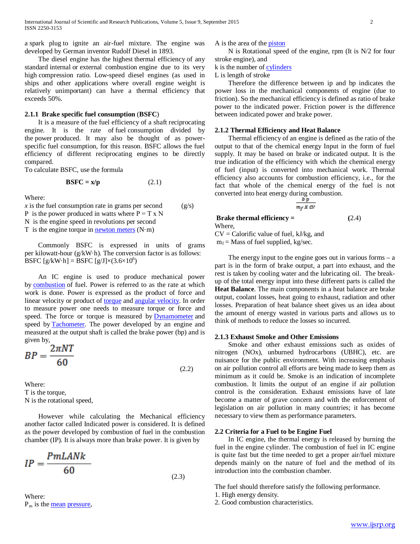a spark plug to ignite an air-fuel mixture. The engine was developed by German inventor Rudolf Diesel in 1893.

 The diesel engine has the highest thermal efficiency of any standard internal or external combustion engine due to its very high compression ratio. Low-speed diesel engines (as used in ships and other applications where overall engine weight is relatively unimportant) can have a thermal efficiency that exceeds 50%.

#### **2.1.1 Brake specific fuel consumption** (**BSFC**)

 It is a measure of the fuel efficiency of a shaft reciprocating engine. It is the rate of fuel consumption divided by the power produced. It may also be thought of as powerspecific fuel consumption, for this reason. BSFC allows the fuel efficiency of different reciprocating engines to be directly compared.

To calculate BSFC, use the formula

$$
BSFC = x/p \tag{2.1}
$$

Where:

 $\dot{x}$  is the fuel consumption rate in grams per second (g/s) P is the power produced in watts where  $P = T x N$ N is the engine speed in revolutions per second T is the engine torque in **[newton meters](http://en.wikipedia.org/wiki/Newton_meter)**  $(N \cdot m)$ 

 Commonly BSFC is expressed in units of grams per kilowatt-hour (g/kW·h). The conversion factor is as follows: BSFC  $[g/kW \cdot h] = BSFC [g/J] \times (3.6 \times 10^6)$ 

 An IC engine is used to produce mechanical power by [combustion](http://en.wikipedia.org/wiki/Combustion) of fuel. Power is referred to as the rate at which work is done. Power is expressed as the product of force and linear velocity or product of [torque](http://en.wikipedia.org/wiki/Torque) and [angular velocity.](http://en.wikipedia.org/wiki/Angular_velocity) In order to measure power one needs to measure torque or force and speed. The force or torque is measured by **[Dynamometer](http://en.wikipedia.org/wiki/Dynamometer)** and speed by [Tachometer.](http://en.wikipedia.org/wiki/Tachometer) The power developed by an engine and measured at the output shaft is called the brake power (bp) and is given by,

$$
BP = \frac{2\pi NT}{60} \tag{2.2}
$$

Where: T is the torque, N is the rotational speed,

 However while calculating the Mechanical efficiency another factor called Indicated power is considered. It is defined as the power developed by combustion of fuel in the combustion chamber (IP). It is always more than brake power. It is given by

$$
IP = \frac{PmLANk}{60}
$$
 (2.3)

 Where:  $P_m$  is the [mean](http://en.wikipedia.org/wiki/Mean) [pressure,](http://en.wikipedia.org/wiki/Pressure) A is the area of the [piston](http://en.wikipedia.org/wiki/Piston)

 N is Rotational speed of the engine, rpm (It is N/2 for four stroke engine), and

#### k is the number of [cylinders](http://en.wikipedia.org/wiki/Cylinder_(engine))

L is length of stroke

 Therefore the difference between ip and bp indicates the power loss in the mechanical components of engine (due to friction). So the mechanical efficiency is defined as ratio of brake power to the indicated power. Friction power is the difference between indicated power and brake power.

#### **2.1.2 Thermal Efficiency and Heat Balance**

 Thermal efficiency of an engine is defined as the ratio of the output to that of the chemical energy Input in the form of fuel supply. It may be based on brake or indicated output. It is the true indication of the efficiency with which the chemical energy of fuel (input) is converted into mechanical work. Thermal efficiency also accounts for combustion efficiency, i.e., for the fact that whole of the chemical energy of the fuel is not converted into heat energy during combustion.

$$
\frac{b p}{m_f X C V}
$$

**Brake thermal efficiency = (2.4)** Where,

 $CV = Calorific value of fuel, kJ/kg, and$ 

 $m_f$  = Mass of fuel supplied, kg/sec.

The energy input to the engine goes out in various forms  $- a$ part is in the form of brake output, a part into exhaust, and the rest is taken by cooling water and the lubricating oil. The breakup of the total energy input into these different parts is called the **Heat Balance**. The main components in a heat balance are brake output, coolant losses, heat going to exhaust, radiation and other losses. Preparation of heat balance sheet gives us an idea about the amount of energy wasted in various parts and allows us to think of methods to reduce the losses so incurred.

#### **2.1.3 Exhaust Smoke and Other Emissions**

 Smoke and other exhaust emissions such as oxides of nitrogen (NOx), unburned hydrocarbons (UBHC), etc. are nuisance for the public environment. With increasing emphasis on air pollution control all efforts are being made to keep them as minimum as it could be. Smoke is an indication of incomplete combustion. It limits the output of an engine if air pollution control is the consideration. Exhaust emissions have of late become a matter of grave concern and with the enforcement of legislation on air pollution in many countries; it has become necessary to view them as performance parameters.

#### **2.2 Criteria for a Fuel to be Engine Fuel**

 In IC engine, the thermal energy is released by burning the fuel in the engine cylinder. The combustion of fuel in IC engine is quite fast but the time needed to get a proper air/fuel mixture depends mainly on the nature of fuel and the method of its introduction into the combustion chamber.

The fuel should therefore satisfy the following performance.

1. High energy density.

2. Good combustion characteristics.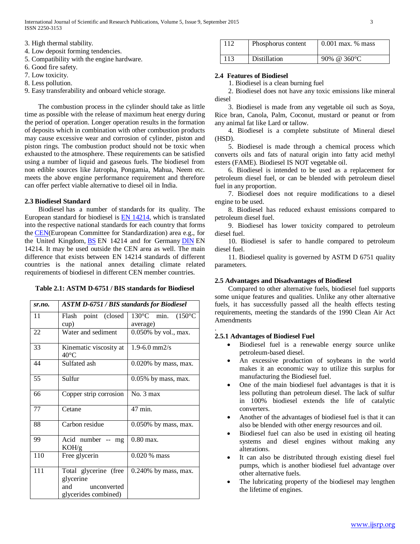- 3. High thermal stability.
- 4. Low deposit forming tendencies.
- 5. Compatibility with the engine hardware.
- 6. Good fire safety.
- 7. Low toxicity.
- 8. Less pollution.

9. Easy transferability and onboard vehicle storage.

 The combustion process in the cylinder should take as little time as possible with the release of maximum heat energy during the period of operation. Longer operation results in the formation of deposits which in combination with other combustion products may cause excessive wear and corrosion of cylinder, piston and piston rings. The combustion product should not be toxic when exhausted to the atmosphere. These requirements can be satisfied using a number of liquid and gaseous fuels. The biodiesel from non edible sources like Jatropha, Pongamia, Mahua, Neem etc. meets the above engine performance requirement and therefore can offer perfect viable alternative to diesel oil in India.

#### **2.3 Biodiesel Standard**

 Biodiesel has a number of standards for its quality. The European standard for biodiesel is [EN 14214,](http://en.wikipedia.org/wiki/EN_14214) which is translated into the respective national standards for each country that forms the [CEN\(](http://en.wikipedia.org/wiki/European_Committee_for_Standardization)European Committee for Standardization) area e.g., for the United Kingdom, **[BS](http://en.wikipedia.org/wiki/British_Standards)** EN 14214 and for Germany **[DIN](http://en.wikipedia.org/wiki/DIN)** EN 14214. It may be used outside the CEN area as well. The main difference that exists between EN 14214 standards of different countries is the national annex detailing climate related requirements of biodiesel in different CEN member countries.

| $sr$ .no. | <b>ASTM D-6751 / BIS standards for Biodiesel</b> |                         |  |  |  |  |  |
|-----------|--------------------------------------------------|-------------------------|--|--|--|--|--|
| 11        | Flash point (closed                              | 130°C min. (150°C       |  |  |  |  |  |
|           | cup)                                             | average)                |  |  |  |  |  |
| 22        | Water and sediment                               | 0.050% by vol., max.    |  |  |  |  |  |
| 33        | Kinematic viscosity at                           | $1.9 - 6.0$ mm $2/s$    |  |  |  |  |  |
|           | $40^{\circ}$ C                                   |                         |  |  |  |  |  |
| 44        | Sulfated ash                                     | $0.020\%$ by mass, max. |  |  |  |  |  |
| 55        | Sulfur                                           | $0.05\%$ by mass, max.  |  |  |  |  |  |
| 66        | Copper strip corrosion                           | No. 3 max               |  |  |  |  |  |
| 77        | Cetane                                           | 47 min.                 |  |  |  |  |  |
| 88        | Carbon residue                                   | $0.050\%$ by mass, max. |  |  |  |  |  |
| 99        | Acid number --<br>mg<br>KOH/g                    | $0.80$ max.             |  |  |  |  |  |
| 110       | Free glycerin                                    | $0.020\%$ mass          |  |  |  |  |  |
| 111       | Total glycerine (free                            | $0.240\%$ by mass, max. |  |  |  |  |  |
|           | glycerine                                        |                         |  |  |  |  |  |
|           | and<br>unconverted                               |                         |  |  |  |  |  |
|           | glycerides combined)                             |                         |  |  |  |  |  |

| 112 | Phosphorus content | $0.001$ max. % mass |
|-----|--------------------|---------------------|
| 113 | Distillation       | 90% @ 360 °C        |

#### **2.4 Features of Biodiesel**

1. Biodiesel is a clean burning fuel

 2. Biodiesel does not have any toxic emissions like mineral diesel

 3. Biodiesel is made from any vegetable oil such as Soya, Rice bran, Canola, Palm, Coconut, mustard or peanut or from any animal fat like Lard or tallow.

 4. Biodiesel is a complete substitute of Mineral diesel (HSD).

 5. Biodiesel is made through a chemical process which converts oils and fats of natural origin into fatty acid methyl esters (FAME). Biodiesel IS NOT vegetable oil.

 6. Biodiesel is intended to be used as a replacement for petroleum diesel fuel, or can be blended with petroleum diesel fuel in any proportion.

 7. Biodiesel does not require modifications to a diesel engine to be used.

 8. Biodiesel has reduced exhaust emissions compared to petroleum diesel fuel.

 9. Biodiesel has lower toxicity compared to petroleum diesel fuel.

 10. Biodiesel is safer to handle compared to petroleum diesel fuel.

 11. Biodiesel quality is governed by ASTM D 6751 quality parameters.

#### **2.5 Advantages and Disadvantages of Biodiesel**

 Compared to other alternative fuels, biodiesel fuel supports some unique features and qualities. Unlike any other alternative fuels, it has successfully passed all the health effects testing requirements, meeting the standards of the 1990 Clean Air Act Amendments

#### **2.5.1 Advantages of Biodiesel Fuel**

.

- Biodiesel fuel is a renewable energy source unlike petroleum-based diesel.
- An excessive production of soybeans in the world makes it an economic way to utilize this surplus for manufacturing the Biodiesel fuel.
- One of the main biodiesel fuel advantages is that it is less polluting than petroleum diesel. The lack of sulfur in 100% biodiesel extends the life of catalytic converters.
- Another of the advantages of biodiesel fuel is that it can also be blended with other energy resources and oil.
- Biodiesel fuel can also be used in existing oil heating systems and diesel engines without making any alterations.
- It can also be distributed through existing diesel fuel pumps, which is another biodiesel fuel advantage over other alternative fuels.
- The lubricating property of the biodiesel may lengthen the lifetime of engines.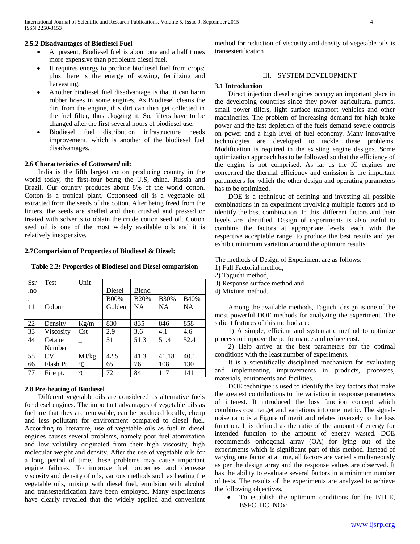#### **2.5.2 Disadvantages of Biodiesel Fuel**

- At present, Biodiesel fuel is about one and a half times more expensive than petroleum diesel fuel.
- It requires energy to produce biodiesel fuel from crops; plus there is the energy of sowing, fertilizing and harvesting.
- Another biodiesel fuel disadvantage is that it can harm rubber hoses in some engines. As Biodiesel cleans the dirt from the engine, this dirt can then get collected in the fuel filter, thus clogging it. So, filters have to be changed after the first several hours of biodiesel use.
- Biodiesel fuel distribution infrastructure needs improvement, which is another of the biodiesel fuel disadvantages.

#### **2.6 Characteristics of** *Cottonseed* **oil:**

 India is the fifth largest cotton producing country in the world today, the first-four being the U.S, china, Russia and Brazil. Our country produces about 8% of the world cotton. Cotton is a tropical plant. Cottonseed oil is a vegetable oil extracted from the seeds of the cotton. After being freed from the linters, the seeds are shelled and then crushed and pressed or treated with solvents to obtain the crude cotton seed oil. Cotton seed oil is one of the most widely available oils and it is relatively inexpensive.

#### **2.7Comparision of Properties of Biodiesel & Diesel:**

**Table 2.2: Properties of Biodiesel and Diesel comparision**

| <b>Ssr</b> | <b>Test</b> | Unit            |             |             |             |           |
|------------|-------------|-----------------|-------------|-------------|-------------|-----------|
| .no        |             |                 | Diesel      | Blend       |             |           |
| ٠          |             |                 | <b>B00%</b> | <b>B20%</b> | <b>B30%</b> | B40%      |
| 11         | Colour      |                 | Golden      | <b>NA</b>   | <b>NA</b>   | <b>NA</b> |
|            |             |                 |             |             |             |           |
| 22         | Density     | $Kg/m^3$        | 830         | 835         | 846         | 858       |
| 33         | Viscosity   | Cst             | 2.9         | 3.6         | 4.1         | 4.6       |
| 44         | Cetane      |                 | 51          | 51.3        | 51.4        | 52.4      |
|            | Number      |                 |             |             |             |           |
| 55         | CV          | MJ/kg           | 42.5        | 41.3        | 41.18       | 40.1      |
| 66         | Flash Pt.   | °C              | 65          | 76          | 108         | 130       |
| 77         | Fire pt.    | $\rm ^{\circ}C$ | 72          | 84          | 117         | 141       |

#### **2.8 Pre-heating of Biodiesel**

 Different vegetable oils are considered as alternative fuels for diesel engines. The important advantages of vegetable oils as fuel are that they are renewable, can be produced locally, cheap and less pollutant for environment compared to diesel fuel. According to literature, use of vegetable oils as fuel in diesel engines causes several problems, namely poor fuel atomization and low volatility originated from their high viscosity, high molecular weight and density. After the use of vegetable oils for a long period of time, these problems may cause important engine failures. To improve fuel properties and decrease viscosity and density of oils, various methods such as heating the vegetable oils, mixing with diesel fuel, emulsion with alcohol and transesterification have been employed. Many experiments have clearly revealed that the widely applied and convenient method for reduction of viscosity and density of vegetable oils is transesterification.

#### III. SYSTEM DEVELOPMENT

#### **3.1 Introduction**

 Direct injection diesel engines occupy an important place in the developing countries since they power agricultural pumps, small power tillers, light surface transport vehicles and other machineries. The problem of increasing demand for high brake power and the fast depletion of the fuels demand severe controls on power and a high level of fuel economy. Many innovative technologies are developed to tackle these problems. Modification is required in the existing engine designs. Some optimization approach has to be followed so that the efficiency of the engine is not comprised. As far as the IC engines are concerned the thermal efficiency and emission is the important parameters for which the other design and operating parameters has to be optimized.

 DOE is a technique of defining and investing all possible combinations in an experiment involving multiple factors and to identify the best combination. In this, different factors and their levels are identified. Design of experiments is also useful to combine the factors at appropriate levels, each with the respective acceptable range, to produce the best results and yet exhibit minimum variation around the optimum results.

The methods of Design of Experiment are as follows:

1) Full Factorial method,

- 2) Taguchi method,
- 3) Response surface method and
- 4) Mixture method.

 Among the available methods, Taguchi design is one of the most powerful DOE methods for analyzing the experiment. The salient features of this method are:

 1) A simple, efficient and systematic method to optimize process to improve the performance and reduce cost.

 2) Help arrive at the best parameters for the optimal conditions with the least number of experiments.

 It is a scientifically disciplined mechanism for evaluating and implementing improvements in products, processes, materials, equipments and facilities.

 DOE technique is used to identify the key factors that make the greatest contributions to the variation in response parameters of interest. It introduced the loss function concept which combines cost, target and variations into one metric. The signalnoise ratio is a Figure of merit and relates inversely to the loss function. It is defined as the ratio of the amount of energy for intended function to the amount of energy wasted. DOE recommends orthogonal array (OA) for lying out of the experiments which is significant part of this method. Instead of varying one factor at a time, all factors are varied simultaneously as per the design array and the response values are observed. It has the ability to evaluate several factors in a minimum number of tests. The results of the experiments are analyzed to achieve the following objectives.

• To establish the optimum conditions for the BTHE, BSFC, HC, NOx;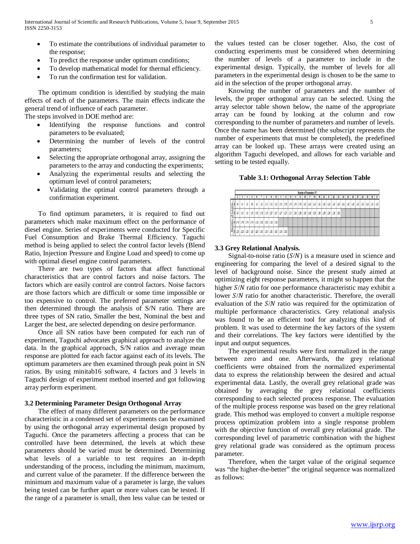- To estimate the contributions of individual parameter to the response;
- To predict the response under optimum conditions;
- To develop mathematical model for thermal efficiency.
- To run the confirmation test for validation.

 The optimum condition is identified by studying the main effects of each of the parameters. The main effects indicate the general trend of influence of each parameter.

The steps involved in DOE method are:

- Identifying the response functions and control parameters to be evaluated;
- Determining the number of levels of the control parameters;
- Selecting the appropriate orthogonal array, assigning the parameters to the array and conducting the experiments;
- Analyzing the experimental results and selecting the optimum level of control parameters;
- Validating the optimal control parameters through a confirmation experiment.

 To find optimum parameters, it is required to find out parameters which make maximum effect on the performance of diesel engine. Series of experiments were conducted for Specific Fuel Consumption and Brake Thermal Efficiency. Taguchi method is being applied to select the control factor levels (Blend Ratio, Injection Pressure and Engine Load and speed) to come up with optimal diesel engine control parameters.

 There are two types of factors that affect functional characteristics that are control factors and noise factors. The factors which are easily control are control factors. Noise factors are those factors which are difficult or some time impossible or too expensive to control. The preferred parameter settings are then determined through the analysis of S/N ratio. There are three types of SN ratio, Smaller the best, Nominal the best and Larger the best, are selected depending on desire performance.

 Once all SN ratios have been computed for each run of experiment, Taguchi advocates graphical approach to analyze the data. In the graphical approach, S/N ratios and average mean response are plotted for each factor against each of its levels. The optimum parameters are then examined through peak point in SN ratios. By using minitab16 software, 4 factors and 3 levels in Taguchi design of experiment method inserted and got following array perform experiment.

#### **3.2 Determining Parameter Design Orthogonal Array**

 The effect of many different parameters on the performance characteristic in a condensed set of experiments can be examined by using the orthogonal array experimental design proposed by Taguchi. Once the parameters affecting a process that can be controlled have been determined, the levels at which these parameters should be varied must be determined. Determining what levels of a variable to test requires an in-depth understanding of the process, including the minimum, maximum, and current value of the parameter. If the difference between the minimum and maximum value of a parameter is large, the values being tested can be further apart or more values can be tested. If the range of a parameter is small, then less value can be tested or the values tested can be closer together. Also, the cost of conducting experiments must be considered when determining the number of levels of a parameter to include in the experimental design. Typically, the number of levels for all parameters in the experimental design is chosen to be the same to aid in the selection of the proper orthogonal array.

 Knowing the number of parameters and the number of levels, the proper orthogonal array can be selected. Using the array selector table shown below, the name of the appropriate array can be found by looking at the column and row corresponding to the number of parameters and number of levels. Once the name has been determined (the subscript represents the number of experiments that must be completed), the predefined array can be looked up. These arrays were created using an algorithm Taguchi developed, and allows for each variable and setting to be tested equally.

**Table 3.1: Orthogonal Array Selection Table**

|    |                                |     |     |                              |     |     |             |             |     |     |     |                 |         |     |     |                   | Number of Parameters (P) |     |     |     |     |     |     |     |     |     |     |     |     |     |
|----|--------------------------------|-----|-----|------------------------------|-----|-----|-------------|-------------|-----|-----|-----|-----------------|---------|-----|-----|-------------------|--------------------------|-----|-----|-----|-----|-----|-----|-----|-----|-----|-----|-----|-----|-----|
|    |                                |     |     |                              |     |     |             |             |     |     |     |                 |         |     |     |                   | 18                       | 19  | 21  | n   | п   | 23  | 24  | 25  | 26  |     | и   | 29  |     |     |
|    | L4                             | L4  | LB  | L8.                          | L8  | u   | L12         | L12         |     |     |     | L12 L12 L16 L16 | L16 L16 |     |     | $L32$ $L32$ $L32$ |                          | L32 | 32  | L32 | 32  | L32 | L32 | L32 | L32 | L32 | L32 | L32 | L32 | L32 |
| 긔3 | L9                             | L۹  | 19  | L18                          | L1B | L18 | 118         | 127         | L27 | 127 | L27 | L27             | L36     | L36 | L36 | 136               | L36                      | 136 | L36 | L36 | 135 | L36 |     |     |     |     |     |     |     |     |
|    |                                |     |     | 4  L'16   L'16   L'16   L'16 | 132 |     | $132$ $132$ | $132$ $132$ |     |     |     |                 |         |     |     |                   |                          |     |     |     |     |     |     |     |     |     |     |     |     |     |
|    | $\frac{3}{2}$ 5 $\frac{1}{25}$ | L25 | L25 | L25                          | L25 | L50 | L50         | L50         | 50  | 50  | L50 |                 |         |     |     |                   |                          |     |     |     |     |     |     |     |     |     |     |     |     |     |

#### **3.3 Grey Relational Analysis.**

Signal-to-noise ratio  $(S/N)$  is a measure used in science and engineering for comparing the level of a desired signal to the level of background noise. Since the present study aimed at optimizing eight response parameters, it might so happen that the higher  $S/N$  ratio for one performance characteristic may exhibit a lower  $S/N$  ratio for another characteristic. Therefore, the overall evaluation of the  $S/N$  ratio was required for the optimization of multiple performance characteristics. Grey relational analysis was found to be an efficient tool for analyzing this kind of problem. It was used to determine the key factors of the system and their correlations. The key factors were identified by the input and output sequences.

 The experimental results were first normalized in the range between zero and one. Afterwards, the grey relational coefficients were obtained from the normalized experimental data to express the relationship between the desired and actual experimental data. Lastly, the overall grey relational grade was obtained by averaging the grey relational coefficients corresponding to each selected process response. The evaluation of the multiple process response was based on the grey relational grade. This method was employed to convert a multiple response process optimization problem into a single response problem with the objective function of overall grey relational grade. The corresponding level of parametric combination with the highest grey relational grade was considered as the optimum process parameter.

 Therefore, when the target value of the original sequence was "the higher-the-better" the original sequence was normalized as follows: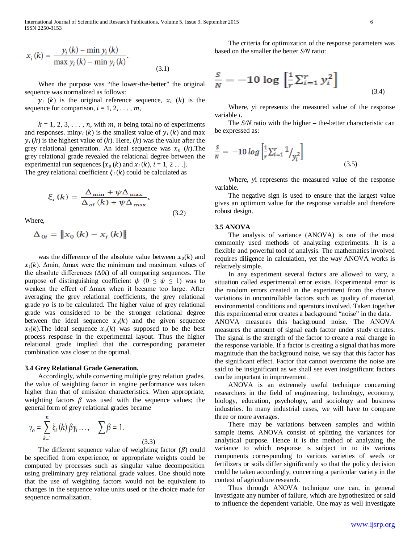$$
x_i(k) = \frac{y_i(k) - \min y_i(k)}{\max y_i(k) - \min y_i(k)}.
$$
\n(3.1)

When the purpose was "the lower-the-better" the original sequence was normalized as follows:

 $y_i$  (k) is the original reference sequence,  $x_i$  (k) is the sequence for comparison,  $i = 1, 2, \ldots, m$ ,

 $k = 1, 2, 3, \ldots, n$ , with m, n being total no of experiments and responses. miny<sub>i</sub> (k) is the smallest value of  $y_i$  (k) and max  $y_i(k)$  is the highest value of  $(k)$ . Here,  $(k)$  was the value after the grey relational generation. An ideal sequence was  $x_0$  (k). The grey relational grade revealed the relational degree between the experimental run sequences  $[x_0 (k)$  and  $x_i (k), i = 1, 2 \ldots]$ . The grey relational coefficient  $\xi_i(k)$  could be calculated as

$$
\xi_{i} (k) = \frac{\Delta_{\min} + \psi \Delta_{\max}}{\Delta_{oi} (k) + \psi \Delta_{\max}},
$$
\n(3.2)

Where,

$$
\Delta_{0i} = \left\| x_0 \left( k \right) - x_i \left( k \right) \right\|
$$

was the difference of the absolute value between  $x_0(k)$  and  $x_i(k)$ . Δmin, Δmax were the minimum and maximum values of the absolute differences  $(\Delta 0i)$  of all comparing sequences. The purpose of distinguishing coefficient  $\psi$  ( $0 \leq \psi \leq 1$ ) was to weaken the effect of Δmax when it became too large. After averaging the grey relational coefficients, the grey relational grade  $\gamma$ o is to be calculated. The higher value of grey relational grade was considered to be the stronger relational degree between the ideal sequence  $x_0(k)$  and the given sequence  $x_i(k)$ . The ideal sequence  $x_0(k)$  was supposed to be the best process response in the experimental layout. Thus the higher relational grade implied that the corresponding parameter combination was closer to the optimal.

#### **3.4 Grey Relational Grade Generation.**

 Accordingly, while converting multiple grey relation grades, the value of weighting factor in engine performance was taken higher than that of emission characteristics. When appropriate, weighting factors  $\beta$  was used with the sequence values; the general form of grey relational grades became

$$
\gamma_o = \sum_{k=1}^n \xi_i(k) \beta \gamma_i \dots, \quad \sum \beta = 1.
$$
\n(3.3)

The different sequence value of weighting factor  $(\beta)$  could be specified from experience, or appropriate weights could be computed by processes such as singular value decomposition using preliminary grey relational grade values. One should note that the use of weighting factors would not be equivalent to changes in the sequence value units used or the choice made for sequence normalization.

 The criteria for optimization of the response parameters was based on the smaller the better *S/N* ratio:

$$
\frac{S}{N} = -10 \log \left[ \frac{1}{r} \sum_{i=1}^{r} y_i^2 \right]
$$
\n(3.4)

 Where, *y*i represents the measured value of the response variable *i*.

 The *S/N* ratio with the higher – the-better characteristic can be expressed as:

$$
\frac{s}{N} = -10 \log \left[ \frac{1}{r} \sum_{i=1}^{r} \frac{1}{\gamma_i^2} \right]
$$
\n(3.5)

 Where, *y*i represents the measured value of the response variable.

 The negative sign is used to ensure that the largest value gives an optimum value for the response variable and therefore robust design.

#### **3.5 ANOVA**

 The analysis of variance (ANOVA) is one of the most commonly used methods of analyzing experiments. It is a flexible and powerful tool of analysis. The mathematics involved requires diligence in calculation, yet the way ANOVA works is relatively simple.

 In any experiment several factors are allowed to vary, a situation called experimental error exists. Experimental error is the random errors created in the experiment from the chance variations in uncontrollable factors such as quality of material, environmental conditions and operators involved. Taken together this experimental error creates a background "noise" in the data. ANOVA measures this background noise. The ANOVA measures the amount of signal each factor under study creates. The signal is the strength of the factor to create a real change in the response variable. If a factor is creating a signal that has more magnitude than the background noise, we say that this factor has the significant effect. Factor that cannot overcome the noise are said to be insignificant as we shall see even insignificant factors can be important in improvement.

 ANOVA is an extremely useful technique concerning researchers in the field of engineering, technology, economy, biology, education, psychology, and sociology and business industries. In many industrial cases, we will have to compare three or more averages.

 There may be variations between samples and within sample items. ANOVA consist of splitting the variances for analytical purpose. Hence it is the method of analyzing the variance to which response is subject in to its various components corresponding to various varieties of seeds or fertilizers or soils differ significantly so that the policy decision could be taken accordingly, concerning a particular variety in the context of agriculture research.

 Thus through ANOVA technique one can, in general investigate any number of failure, which are hypothesized or said to influence the dependent variable. One may as well investigate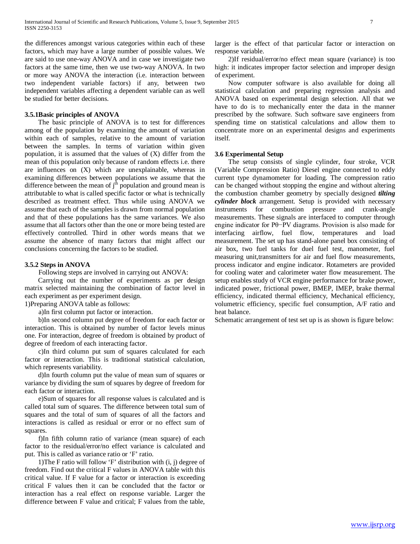the differences amongst various categories within each of these factors, which may have a large number of possible values. We are said to use one-way ANOVA and in case we investigate two factors at the same time, then we use two-way ANOVA. In two or more way ANOVA the interaction (i.e. interaction between two independent variable factors) if any, between two independent variables affecting a dependent variable can as well be studied for better decisions.

#### **3.5.1Basic principles of ANOVA**

 The basic principle of ANOVA is to test for differences among of the population by examining the amount of variation within each of samples, relative to the amount of variation between the samples. In terms of variation within given population, it is assumed that the values of (X) differ from the mean of this population only because of random effects i.e. there are influences on (X) which are unexplainable, whereas in examining differences between populations we assume that the difference between the mean of  $j<sup>th</sup>$  population and ground mean is attributable to what is called specific factor or what is technically described as treatment effect. Thus while using ANOVA we assume that each of the samples is drawn from normal population and that of these populations has the same variances. We also assume that all factors other than the one or more being tested are effectively controlled. Third in other words means that we assume the absence of many factors that might affect our conclusions concerning the factors to be studied.

#### **3.5.2 Steps in ANOVA**

Following steps are involved in carrying out ANOVA:

 Carrying out the number of experiments as per design matrix selected maintaining the combination of factor level in each experiment as per experiment design.

1)Preparing ANOVA table as follows:

a)In first column put factor or interaction.

 b)In second column put degree of freedom for each factor or interaction. This is obtained by number of factor levels minus one. For interaction, degree of freedom is obtained by product of degree of freedom of each interacting factor.

 c)In third column put sum of squares calculated for each factor or interaction. This is traditional statistical calculation, which represents variability.

 d)In fourth column put the value of mean sum of squares or variance by dividing the sum of squares by degree of freedom for each factor or interaction.

 e)Sum of squares for all response values is calculated and is called total sum of squares. The difference between total sum of squares and the total of sum of squares of all the factors and interactions is called as residual or error or no effect sum of squares.

 f)In fifth column ratio of variance (mean square) of each factor to the residual/error/no effect variance is calculated and put. This is called as variance ratio or 'F' ratio.

 1)The F ratio will follow 'F' distribution with (i, j) degree of freedom. Find out the critical F values in ANOVA table with this critical value. If F value for a factor or interaction is exceeding critical F values then it can be concluded that the factor or interaction has a real effect on response variable. Larger the difference between F value and critical; F values from the table, larger is the effect of that particular factor or interaction on response variable.

 2)If residual/error/no effect mean square (variance) is too high: it indicates improper factor selection and improper design of experiment.

 Now computer software is also available for doing all statistical calculation and preparing regression analysis and ANOVA based on experimental design selection. All that we have to do is to mechanically enter the data in the manner prescribed by the software. Such software save engineers from spending time on statistical calculations and allow them to concentrate more on an experimental designs and experiments itself.

#### **3.6 Experimental Setup**

 The setup consists of single cylinder, four stroke, VCR (Variable Compression Ratio) Diesel engine connected to eddy current type dynamometer for loading. The compression ratio can be changed without stopping the engine and without altering the combustion chamber geometry by specially designed *tilting cylinder block* arrangement. Setup is provided with necessary instruments for combustion pressure and crank-angle measurements. These signals are interfaced to computer through engine indicator for Pθ−PV diagrams. Provision is also made for interfacing airflow, fuel flow, temperatures and load measurement. The set up has stand-alone panel box consisting of air box, two fuel tanks for duel fuel test, manometer, fuel measuring unit,transmitters for air and fuel flow measurements, process indicator and engine indicator. Rotameters are provided for cooling water and calorimeter water flow measurement. The setup enables study of VCR engine performance for brake power, indicated power, frictional power, BMEP, IMEP, brake thermal efficiency, indicated thermal efficiency, Mechanical efficiency, volumetric efficiency, specific fuel consumption, A/F ratio and heat balance.

Schematic arrangement of test set up is as shown is figure below: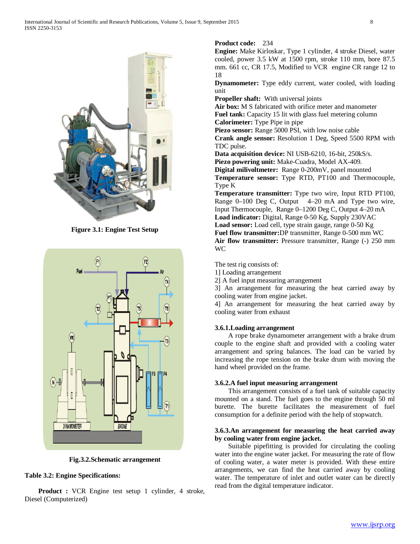

**Figure 3.1: Engine Test Setup**



**Fig.3.2.Schematic arrangement**

#### **Table 3.2: Engine Specifications:**

 **Product :** VCR Engine test setup 1 cylinder, 4 stroke, Diesel (Computerized)

#### **Product code:** 234

**Engine:** Make Kirloskar, Type 1 cylinder, 4 stroke Diesel, water cooled, power 3.5 kW at 1500 rpm, stroke 110 mm, bore 87.5 mm. 661 cc, CR 17.5, Modified to VCR engine CR range 12 to 18

**Dynamometer:** Type eddy current, water cooled, with loading unit

**Propeller shaft:** With universal joints

**Air box:** M S fabricated with orifice meter and manometer Fuel tank: Capacity 15 lit with glass fuel metering column **Calorimeter:** Type Pipe in pipe

Piezo sensor: Range 5000 PSI, with low noise cable

**Crank angle sensor:** Resolution 1 Deg, Speed 5500 RPM with TDC pulse.

**Data acquisition device:** NI USB-6210, 16-bit, 250kS/s.

Piezo powering unit: Make-Cuadra, Model AX-409.

**Digital milivoltmeter:** Range 0-200mV, panel mounted

**Temperature sensor:** Type RTD, PT100 and Thermocouple, Type K

**Temperature transmitter:** Type two wire, Input RTD PT100, Range 0–100 Deg C, Output 4–20 mA and Type two wire, Input Thermocouple, Range 0–1200 Deg C, Output 4–20 mA **Load indicator:** Digital, Range 0-50 Kg, Supply 230VAC

**Load sensor:** Load cell, type strain gauge, range 0-50 Kg

**Fuel flow transmitter:**DP transmitter, Range 0-500 mm WC Air flow transmitter: Pressure transmitter, Range (-) 250 mm WC

The test rig consists of:

1] Loading arrangement

2] A fuel input measuring arrangement

3] An arrangement for measuring the heat carried away by cooling water from engine jacket.

4] An arrangement for measuring the heat carried away by cooling water from exhaust

#### **3.6.1.Loading arrangement**

 A rope brake dynamometer arrangement with a brake drum couple to the engine shaft and provided with a cooling water arrangement and spring balances. The load can be varied by increasing the rope tension on the brake drum with moving the hand wheel provided on the frame.

#### **3.6.2.A fuel input measuring arrangement**

 This arrangement consists of a fuel tank of suitable capacity mounted on a stand. The fuel goes to the engine through 50 ml burette. The burette facilitates the measurement of fuel consumption for a definite period with the help of stopwatch.

#### **3.6.3.An arrangement for measuring the heat carried away by cooling water from engine jacket.**

 Suitable pipefitting is provided for circulating the cooling water into the engine water jacket. For measuring the rate of flow of cooling water, a water meter is provided. With these entire arrangements, we can find the heat carried away by cooling water. The temperature of inlet and outlet water can be directly read from the digital temperature indicator.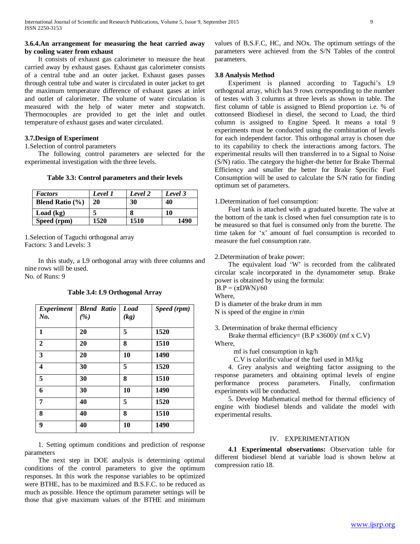#### **3.6.4.An arrangement for measuring the heat carried away by cooling water from exhaust**

 It consists of exhaust gas calorimeter to measure the heat carried away by exhaust gases. Exhaust gas calorimeter consists of a central tube and an outer jacket. Exhaust gases passes through central tube and water is circulated in outer jacket to get the maximum temperature difference of exhaust gases at inlet and outlet of calorimeter. The volume of water circulation is measured with the help of water meter and stopwatch. Thermocouples are provided to get the inlet and outlet temperature of exhaust gases and water circulated.

#### **3.7.Design of Experiment**

1.Selection of control parameters

 The following control parameters are selected for the experimental investigation with the three levels.

**Table 3.3: Control parameters and their levels**

| <b>Factors</b>      | Level 1 | Level 2 | Level 3 |
|---------------------|---------|---------|---------|
| Blend Ratio $(\% )$ | 20      | 30      | 40      |
| Load (kg)           |         |         | 10      |
| Speed (rpm)         | 1520    | 1510    | 1490    |

1.Selection of Taguchi orthogonal array Factors: 3 and Levels: 3

 In this study, a L9 orthogonal array with three columns and nine rows will be used.

No. of Runs: 9

| <b>Experiment</b>       | <b>Blend Ratio</b> | <b>Load</b> | Speed (rpm) |
|-------------------------|--------------------|-------------|-------------|
| No.                     | (%)                | (kg)        |             |
|                         |                    |             |             |
| $\mathbf{1}$            | 20                 | 5           | 1520        |
| $\overline{2}$          | 20                 | 8           | 1510        |
| 3                       | 20                 | 10          | 1490        |
| $\overline{\mathbf{4}}$ | 30                 | 5           | 1520        |
| 5                       | 30                 | 8           | 1510        |
| 6                       | 30                 | 10          | 1490        |
| 7                       | 40                 | 5           | 1520        |
| 8                       | 40                 | 8           | 1510        |
| 9                       | 40                 | 10          | 1490        |

#### **Table 3.4: L9 Orthogonal Array**

 1. Setting optimum conditions and prediction of response parameters

 The next step in DOE analysis is determining optimal conditions of the control parameters to give the optimum responses. In this work the response variables to be optimized were BTHE, has to be maximized and B.S.F.C. to be reduced as much as possible. Hence the optimum parameter settings will be those that give maximum values of the BTHE and minimum values of B.S.F.C, HC, and NOx. The optimum settings of the parameters were achieved from the S/N Tables of the control parameters.

#### **3.8 Analysis Method**

 Experiment is planned according to Taguchi's L9 orthogonal array, which has 9 rows corresponding to the number of testes with 3 columns at three levels as shown in table. The first column of table is assigned to Blend proportion i.e. % of cottonseed Biodiesel in diesel, the second to Load, the third column is assigned to Engine Speed. It means a total 9 experiments must be conducted using the combination of levels for each independent factor. This orthogonal array is chosen due to its capability to check the interactions among factors. The experimental results will then transferred in to a Signal to Noise (S/N) ratio. The category the higher-the better for Brake Thermal Efficiency and smaller the better for Brake Specific Fuel Consumption will be used to calculate the S/N ratio for finding optimum set of parameters.

#### 1.Determination of fuel consumption:

 Fuel tank is attached with a graduated burette. The valve at the bottom of the tank is closed when fuel consumption rate is to be measured so that fuel is consumed only from the burette. The time taken for 'x' amount of fuel consumption is recorded to measure the fuel consumption rate.

#### 2.Determination of brake power:

 The equivalent load 'W' is recorded from the calibrated circular scale incorporated in the dynamometer setup. Brake power is obtained by using the formula:  $B.P = (\pi DWN)/60$ 

Where,

D is diameter of the brake drum in mm N is speed of the engine in r/min

3. Determination of brake thermal efficiency

 Brake thermal efficiency= (B.P x3600)/ (mf x C.V) Where,

mf is fuel consumption in kg/h

C.V is calorific value of the fuel used in MJ/kg

 4. Grey analysis and weighting factor assigning to the response parameters and obtaining optimal levels of engine performance process parameters. Finally, confirmation experiments will be conducted.

 5. Develop Mathematical method for thermal efficiency of engine with biodiesel blends and validate the model with experimental results.

#### IV. EXPERIMENTATION

 **4.1 Experimental observations:** Observation table for different biodiesel blend at variable load is shown below at compression ratio 18.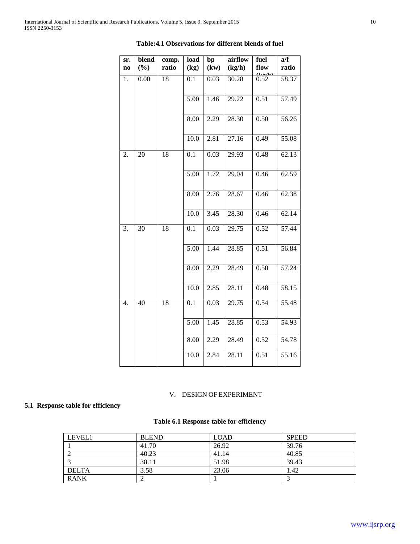| sr.<br>$\mathbf{n}\mathbf{o}$ | blend<br>(%) | comp.<br>ratio | load<br>(kg)      | bp<br>(kw)        | airflow<br>(kg/h)  | fuel<br>flow | a/f<br>ratio |
|-------------------------------|--------------|----------------|-------------------|-------------------|--------------------|--------------|--------------|
| 1.                            | 0.00         | 18             | 0.1               | 0.03              | 30.28              | 0.52         | 58.37        |
|                               |              |                | 5.00              | 1.46              | 29.22              | 0.51         | 57.49        |
|                               |              |                | 8.00              | 2.29              | $28.\overline{30}$ | 0.50         | 56.26        |
|                               |              |                | $\overline{10.0}$ | 2.81              | 27.16              | 0.49         | 55.08        |
| 2.                            | 20           | 18             | 0.1               | 0.03              | 29.93              | 0.48         | 62.13        |
|                               |              |                | $\frac{1}{5.00}$  | 1.72              | 29.04              | 0.46         | 62.59        |
|                               |              |                | 8.00              | 2.76              | 28.67              | 0.46         | 62.38        |
|                               |              |                | 10.0              | $\overline{3.45}$ | 28.30              | 0.46         | 62.14        |
| 3.                            | 30           | 18             | 0.1               | 0.03              | 29.75              | 0.52         | 57.44        |
|                               |              |                | 5.00              | 1.44              | 28.85              | 0.51         | 56.84        |
|                               |              |                | 8.00              | 2.29              | 28.49              | 0.50         | 57.24        |
|                               |              |                | $\overline{10.0}$ | 2.85              | 28.11              | 0.48         | 58.15        |
| $\overline{4}$ .              | 40           | 18             | $\overline{0.1}$  | 0.03              | 29.75              | 0.54         | 55.48        |
|                               |              |                | 5.00              | 1.45              | 28.85              | 0.53         | 54.93        |
|                               |              |                | 8.00              | 2.29              | 28.49              | 0.52         | 54.78        |
|                               |              |                | 10.0              | 2.84              | 28.11              | 0.51         | 55.16        |

#### **Table:4.1 Observations for different blends of fuel**

#### V. DESIGN OF EXPERIMENT

### **5.1 Response table for efficiency**

#### **Table 6.1 Response table for efficiency**

| LEVEL1       | <b>BLEND</b> | <b>LOAD</b> | <b>SPEED</b> |
|--------------|--------------|-------------|--------------|
|              | 41.70        | 26.92       | 39.76        |
|              | 40.23        | 41.14       | 40.85        |
|              | 38.11        | 51.98       | 39.43        |
| <b>DELTA</b> | 3.58         | 23.06       | 1.42         |
| <b>RANK</b>  |              |             |              |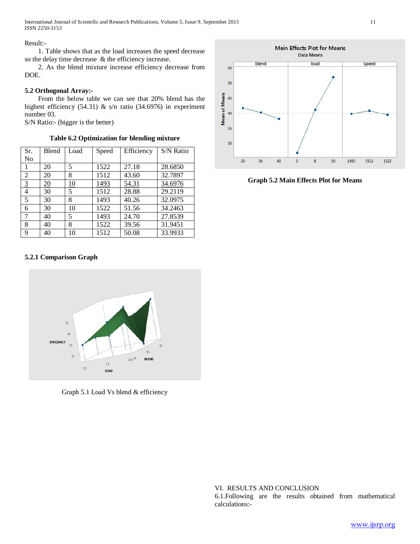#### Result:-

 1. Table shows that as the load increases the speed decrease so the delay time decrease & the efficiency increase.

 2. As the blend mixture increase efficiency decrease from DOE.

#### **5.2 Orthogonal Array:-**

 From the below table we can see that 20% blend has the highest efficiency (54.31) & s/n ratio (34.6976) in experiment number 03.

S/N Ratio:- (bigger is the better)

**Table 6.2 Optimization for blending mixture**

| Sr.<br>N <sub>0</sub> | Blend      | Load      | Speed | Efficiency | S/N Ratio |
|-----------------------|------------|-----------|-------|------------|-----------|
| 1                     | 20         | 5         | 1522  | 27.18      | 28.6850   |
| 2                     | 20         | 8         | 1512  | 43.60      | 32.7897   |
| $\overline{3}$        | <u> 20</u> | <u>10</u> | 1493  | 54.31      | 34.6976   |
| 4                     | 30         | 5         | 1512  | 28.88      | 29.2119   |
| 5                     | 30         | 8         | 1493  | 40.26      | 32.0975   |
| 6                     | 30         | 10        | 1522  | 51.56      | 34.2463   |
| 7                     | 40         | 5         | 1493  | 24.70      | 27.8539   |
| 8                     | 40         | 8         | 1522  | 39.56      | 31.9451   |
| 9                     | 40         | 10        | 1512  | 50.08      | 33.9933   |

#### **5.2.1 Comparison Graph**



Graph 5.1 Load Vs blend & efficiency



**Graph 5.2 Main Effects Plot for Means**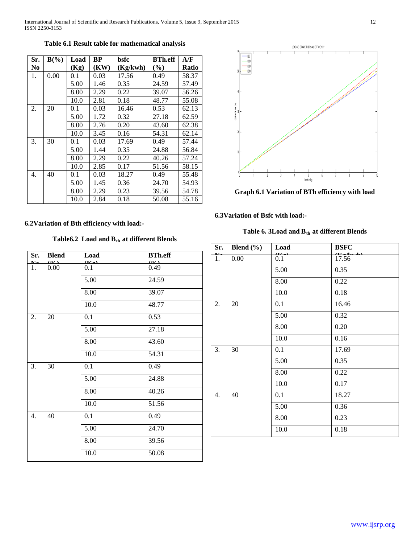| Sr.            | $B(\%)$ | Load | BP   | bsfc     | <b>BTh.eff</b> | A/F          |
|----------------|---------|------|------|----------|----------------|--------------|
| N <sub>0</sub> |         | (Kg) | (KW) | (Kg/kwh) | $(\%)$         | <b>Ratio</b> |
| 1.             | 0.00    | 0.1  | 0.03 | 17.56    | 0.49           | 58.37        |
|                |         | 5.00 | 1.46 | 0.35     | 24.59          | 57.49        |
|                |         | 8.00 | 2.29 | 0.22     | 39.07          | 56.26        |
|                |         | 10.0 | 2.81 | 0.18     | 48.77          | 55.08        |
| 2.             | 20      | 0.1  | 0.03 | 16.46    | 0.53           | 62.13        |
|                |         | 5.00 | 1.72 | 0.32     | 27.18          | 62.59        |
|                |         | 8.00 | 2.76 | 0.20     | 43.60          | 62.38        |
|                |         | 10.0 | 3.45 | 0.16     | 54.31          | 62.14        |
| 3.             | 30      | 0.1  | 0.03 | 17.69    | 0.49           | 57.44        |
|                |         | 5.00 | 1.44 | 0.35     | 24.88          | 56.84        |
|                |         | 8.00 | 2.29 | 0.22     | 40.26          | 57.24        |
|                |         | 10.0 | 2.85 | 0.17     | 51.56          | 58.15        |
| 4.             | 40      | 0.1  | 0.03 | 18.27    | 0.49           | 55.48        |
|                |         | 5.00 | 1.45 | 0.36     | 24.70          | 54.93        |
|                |         | 8.00 | 2.29 | 0.23     | 39.56          | 54.78        |
|                |         | 10.0 | 2.84 | 0.18     | 50.08          | 55.16        |

#### **Table 6.1 Result table for mathematical analysis**



**6.3Variation of Bsfc with load:-**

Table 6. 3<br>Load and  $\mathbf{B}_{\text{th}}$  at different Blends

| Sr.<br><b>MT</b> | Blend $(\% )$ | Load<br>$T$ . | <b>BSFC</b><br>$-1$ |
|------------------|---------------|---------------|---------------------|
| 1.               | 0.00          | 0.1           | 17.56               |
|                  |               | 5.00          | 0.35                |
|                  |               | 8.00          | 0.22                |
|                  |               | 10.0          | 0.18                |
| 2.               | 20            | 0.1           | 16.46               |
|                  |               | 5.00          | 0.32                |
|                  |               | 8.00          | 0.20                |
|                  |               | 10.0          | 0.16                |
| 3.               | 30            | 0.1           | 17.69               |
|                  |               | 5.00          | 0.35                |
|                  |               | 8.00          | 0.22                |
|                  |               | 10.0          | 0.17                |
| 4.               | 40            | 0.1           | 18.27               |
|                  |               | 5.00          | 0.36                |
|                  |               | 8.00          | 0.23                |
|                  |               | 10.0          | 0.18                |

## Table6.2 Load and B<sub>th</sub> at different Blends

**6.2Variation of Bth efficiency with load:-**

| Sr.              | <b>Blend</b> | Load                    | <b>BTh.eff</b> |
|------------------|--------------|-------------------------|----------------|
| $\mathbf{M}$     | (0/1)        | $(\mathbf{V}_{\alpha})$ | (0/1)          |
| 1.               | 0.00         | 0.1                     | 0.49           |
|                  |              | 5.00                    | 24.59          |
|                  |              | 8.00                    | 39.07          |
|                  |              | 10.0                    | 48.77          |
| 2.               | 20           | 0.1                     | 0.53           |
|                  |              | 5.00                    | 27.18          |
|                  |              | 8.00                    | 43.60          |
|                  |              | 10.0                    | 54.31          |
| 3.               | 30           | 0.1                     | 0.49           |
|                  |              | 5.00                    | 24.88          |
|                  |              | 8.00                    | 40.26          |
|                  |              | 10.0                    | 51.56          |
| $\overline{4}$ . | 40           | 0.1                     | 0.49           |
|                  |              | 5.00                    | 24.70          |
|                  |              | 8.00                    | 39.56          |
|                  |              | 10.0                    | 50.08          |

[www.ijsrp.org](http://ijsrp.org/)